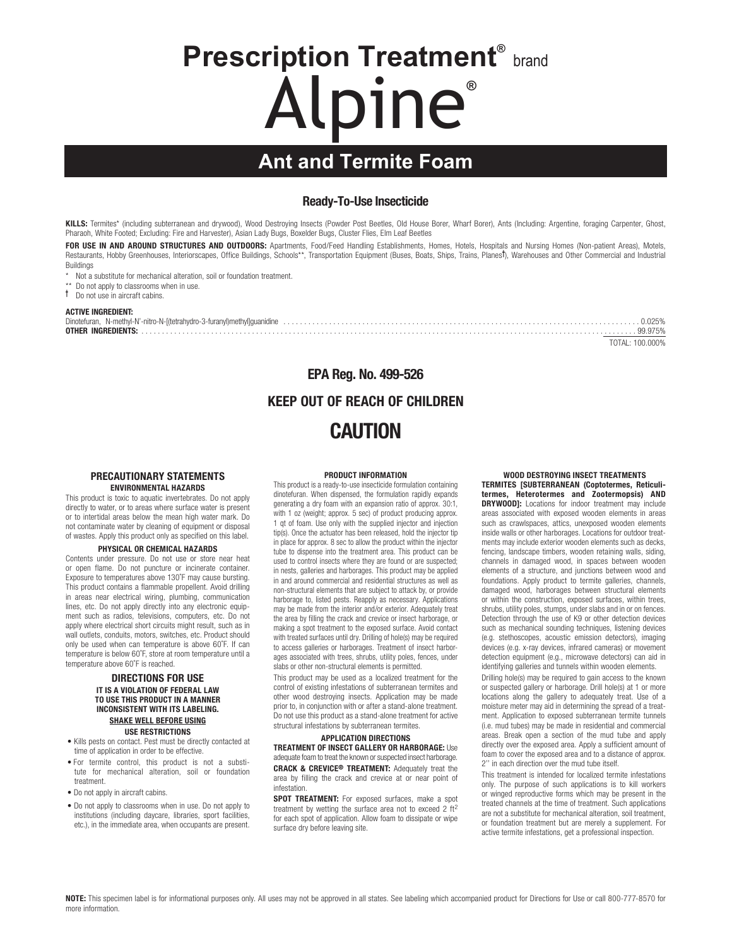# **Prescription Treatment®** brand Alpine**®**

# **Ant and Termite Foam**

## Ready-To-Use Insecticide

KILLS: Termites\* (including subterranean and drywood), Wood Destroying Insects (Powder Post Beetles, Old House Borer, Wharf Borer), Ants (Including: Argentine, foraging Carpenter, Ghost, Pharaoh, White Footed; Excluding: Fire and Harvester), Asian Lady Bugs, Boxelder Bugs, Cluster Flies, Elm Leaf Beetles

FOR USE IN AND AROUND STRUCTURES AND OUTDOORS: Apartments, Food/Feed Handling Establishments, Homes, Hotels, Hospitals and Nursing Homes (Non-patient Areas), Motels, Restaurants, Hobby Greenhouses, Interiorscapes, Office Buildings, Schools\*\*, Transportation Equipment (Buses, Boats, Ships, Trains, Planes<sup>†</sup>), Warehouses and Other Commercial and Industrial Buildings

\* Not a substitute for mechanical alteration, soil or foundation treatment.

\*\* Do not apply to classrooms when in use.

† Do not use in aircraft cabins.

#### ACTIVE INGREDIENT:

|  | 99 975%         |
|--|-----------------|
|  | TOTAL: 100.000% |

## EPA Reg. No. 499-526 KEEP OUT OF REACH OF CHILDREN CAUTION

#### PRECAUTIONARY STATEMENTS ENVIRONMENTAL HAZARDS

This product is toxic to aquatic invertebrates. Do not apply directly to water, or to areas where surface water is present or to intertidal areas below the mean high water mark. Do not contaminate water by cleaning of equipment or disposal of wastes. Apply this product only as specified on this label.

#### PHYSICAL OR CHEMICAL HAZARDS

Contents under pressure. Do not use or store near heat or open flame. Do not puncture or incinerate container. Exposure to temperatures above 130˚F may cause bursting. This product contains a flammable propellent. Avoid drilling in areas near electrical wiring, plumbing, communication lines, etc. Do not apply directly into any electronic equipment such as radios, televisions, computers, etc. Do not apply where electrical short circuits might result, such as in wall outlets, conduits, motors, switches, etc. Product should only be used when can temperature is above 60˚F. If can temperature is below 60˚F, store at room temperature until a temperature above 60˚F is reached.

#### DIRECTIONS FOR USE IT IS A VIOLATION OF FEDERAL LAW TO USE THIS PRODUCT IN A MANNER INCONSISTENT WITH ITS LABELING. SHAKE WELL BEFORE USING USE RESTRICTIONS

- Kills pests on contact. Pest must be directly contacted at time of application in order to be effective.
- For termite control, this product is not a substitute for mechanical alteration, soil or foundation treatment.
- Do not apply in aircraft cabins.
- Do not apply to classrooms when in use. Do not apply to institutions (including daycare, libraries, sport facilities, etc.), in the immediate area, when occupants are present.

#### PRODUCT INFORMATION

This product is a ready-to-use insecticide formulation containing dinotefuran. When dispensed, the formulation rapidly expands generating a dry foam with an expansion ratio of approx. 30:1, with 1 oz (weight; approx. 5 sec) of product producing approx. 1 qt of foam. Use only with the supplied injector and injection tip(s). Once the actuator has been released, hold the injector tip in place for approx. 8 sec to allow the product within the injector tube to dispense into the treatment area. This product can be used to control insects where they are found or are suspected; in nests, galleries and harborages. This product may be applied in and around commercial and residential structures as well as non-structural elements that are subject to attack by, or provide harborage to, listed pests. Reapply as necessary. Applications may be made from the interior and/or exterior. Adequately treat the area by filling the crack and crevice or insect harborage, or making a spot treatment to the exposed surface. Avoid contact with treated surfaces until dry. Drilling of hole(s) may be required to access galleries or harborages. Treatment of insect harborages associated with trees, shrubs, utility poles, fences, under slabs or other non-structural elements is permitted.

This product may be used as a localized treatment for the control of existing infestations of subterranean termites and other wood destroying insects. Application may be made prior to, in conjunction with or after a stand-alone treatment. Do not use this product as a stand-alone treatment for active structural infestations by subterranean termites.

#### APPLICATION DIRECTIONS

TREATMENT OF INSECT GALLERY OR HARBORAGE: Use adequate foam to treat the known or suspected insect harborage. CRACK & CREVICE® TREATMENT: Adequately treat the area by filling the crack and crevice at or near point of infestation.

SPOT TREATMENT: For exposed surfaces, make a spot treatment by wetting the surface area not to exceed 2 ft2 for each spot of application. Allow foam to dissipate or wipe surface dry before leaving site.

 WOOD DESTROYING INSECT TREATMENTS TERMITES [SUBTERRANEAN (Coptotermes, Reticulitermes, Heterotermes and Zootermopsis) AND DRYWOOD]: Locations for indoor treatment may include areas associated with exposed wooden elements in areas such as crawlspaces, attics, unexposed wooden elements inside walls or other harborages. Locations for outdoor treatments may include exterior wooden elements such as decks, fencing, landscape timbers, wooden retaining walls, siding, channels in damaged wood, in spaces between wooden elements of a structure, and junctions between wood and foundations. Apply product to termite galleries, channels, damaged wood, harborages between structural elements or within the construction, exposed surfaces, within trees, shrubs, utility poles, stumps, under slabs and in or on fences. Detection through the use of K9 or other detection devices such as mechanical sounding techniques, listening devices (e.g. stethoscopes, acoustic emission detectors), imaging devices (e.g. x-ray devices, infrared cameras) or movement detection equipment (e.g., microwave detectors) can aid in identifying galleries and tunnels within wooden elements.

Drilling hole(s) may be required to gain access to the known or suspected gallery or harborage. Drill hole(s) at 1 or more locations along the gallery to adequately treat. Use of a moisture meter may aid in determining the spread of a treatment. Application to exposed subterranean termite tunnels (i.e. mud tubes) may be made in residential and commercial areas. Break open a section of the mud tube and apply directly over the exposed area. Apply a sufficient amount of foam to cover the exposed area and to a distance of approx. 2'' in each direction over the mud tube itself.

This treatment is intended for localized termite infestations only. The purpose of such applications is to kill workers or winged reproductive forms which may be present in the treated channels at the time of treatment. Such applications are not a substitute for mechanical alteration, soil treatment, or foundation treatment but are merely a supplement. For active termite infestations, get a professional inspection.

NOTE: This specimen label is for informational purposes only. All uses may not be approved in all states. See labeling which accompanied product for Directions for Use or call 800-777-8570 for more information.